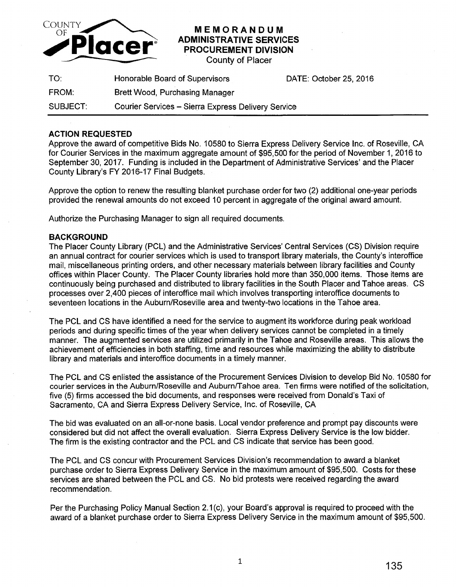

## **MEMORANDUM ADMINISTRATIVE SERVICES PROCUREMENT DIVISION**

County of Placer

| TO:      | Honorable Board of Supervisors                     | DATE: October 25, 2016 |
|----------|----------------------------------------------------|------------------------|
| FROM:    | <b>Brett Wood, Purchasing Manager</b>              |                        |
| SUBJECT: | Courier Services - Sierra Express Delivery Service |                        |

## **ACTION REQUESTED**

Approve the award of competitive Bids No. 10580 to Sierra Express Delivery Service Inc. of Roseville, CA for Courier Services in the maximum aggregate amount of \$95,500 for the period of November 1, 2016 to September 30, 2017. Funding is included in the Department of Administrative Services' and the Placer County Library's FY 2016-17 Final Budgets.

Approve the option to renew the resulting blanket purchase order for two (2) additional one-year periods provided the renewal amounts do not exceed 10 percent in aggregate of the original award amount.

Authorize the Purchasing Manager to sign all required documents.

## **BACKGROUND**

The Placer County Library (PCL) and the Administrative Services' Central Services (CS) Division require an annual contract for courier services which is used to transport library materials, the County's interoffice mail, miscellaneous printing orders, and other necessary materials between library facilities and County offices within Placer County. The Placer County libraries hold more than 350,000 items. Those items are continuously being purchased and distributed to library facilities in the South Placer and Tahoe areas. CS processes over 2,400 pieces of interoffice mail which involves transporting interoffice documents to seventeen locations in the Auburn/Roseville area and twenty-two locations in the Tahoe area.

The PCL and CS have identified a need for the service to augment its workforce during peak workload periods and during specific times of the year when delivery services cannot be completed in a timely manner. The augmented services are utilized primarily in the Tahoe and Roseville areas. This allows the achievement of efficiencies in both staffing, time and resources while maximizing the ability to distribute library and materials and interoffice documents in a timely manner.

The PCL and CS enlisted the assistance of the Procurement Services Division to develop Bid No. 10580 for courier services in the Auburn/Roseville and Auburn/Tahoe area. Ten firms were notified of the solicitation, five (5) firms accessed the bid documents, and responses were received from Donald's Taxi of Sacramento, CA and Sierra Express Delivery Service, Inc. of Roseville, CA

The bid was evaluated on an all-or-none basis. Local vendor preference and prompt pay discounts were considered but did not affect the overall evaluation. Sierra Express Delivery Service is the low bidder. The firm is the existing contractor and the PCL and CS indicate that service has been good.

The PCL and CS concur with Procurement Services Division's recommendation to award a blanket purchase order to Sierra Express Delivery Service in the maximum amount of \$95,500. Costs for these services are shared between the PCL and CS. No bid protests were received regarding the award recommendation.

Per the Purchasing Policy Manual Section 2.1(c), your Board's approval is required to proceed with the award of a blanket purchase order to Sierra Express Delivery Service in the maximum amount of \$95,500.